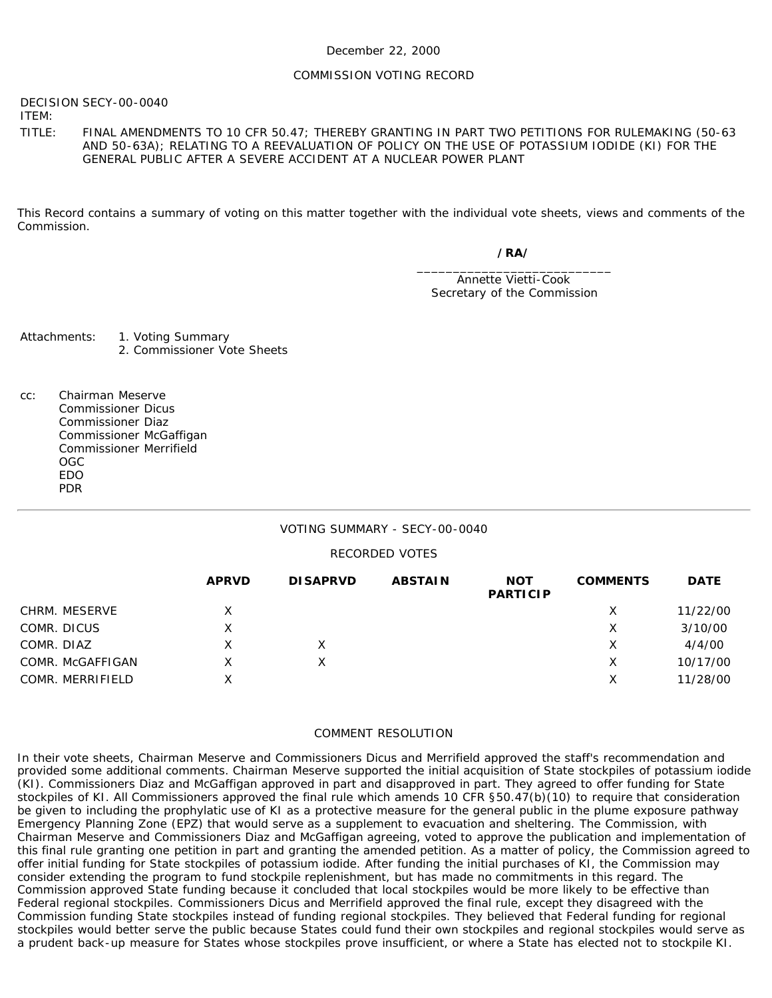#### December 22, 2000

#### COMMISSION VOTING RECORD

DECISION SECY-00-0040

ITEM:

TITLE: FINAL AMENDMENTS TO 10 CFR 50.47; THEREBY GRANTING IN PART TWO PETITIONS FOR RULEMAKING (50-63 AND 50-63A); RELATING TO A REEVALUATION OF POLICY ON THE USE OF POTASSIUM IODIDE (KI) FOR THE GENERAL PUBLIC AFTER A SEVERE ACCIDENT AT A NUCLEAR POWER PLANT

This Record contains a summary of voting on this matter together with the individual vote sheets, views and comments of the Commission.

*/RA/*

\_\_\_\_\_\_\_\_\_\_\_\_\_\_\_\_\_\_\_\_\_\_\_\_\_\_\_ Annette Vietti-Cook Secretary of the Commission

Attachments: 1. Voting Summary 2. Commissioner Vote Sheets

cc: Chairman Meserve Commissioner Dicus Commissioner Diaz Commissioner McGaffigan Commissioner Merrifield OGC EDO PDR

#### VOTING SUMMARY - SECY-00-0040

#### RECORDED VOTES

|                  | <b>APRVD</b> | <b>DISAPRVD</b> | <b>ABSTAIN</b> | <b>NOT</b><br><b>PARTICIP</b> | <b>COMMENTS</b> | <b>DATE</b> |
|------------------|--------------|-----------------|----------------|-------------------------------|-----------------|-------------|
| CHRM. MESERVE    | Χ            |                 |                |                               | X               | 11/22/00    |
| COMR. DICUS      | x            |                 |                |                               | X               | 3/10/00     |
| COMR. DIAZ       |              |                 |                |                               | X               | 4/4/00      |
| COMR. McGAFFIGAN | x            |                 |                |                               | X               | 10/17/00    |
| COMR. MERRIFIELD | x            |                 |                |                               | X               | 11/28/00    |

#### COMMENT RESOLUTION

In their vote sheets, Chairman Meserve and Commissioners Dicus and Merrifield approved the staff's recommendation and provided some additional comments. Chairman Meserve supported the initial acquisition of State stockpiles of potassium iodide (KI). Commissioners Diaz and McGaffigan approved in part and disapproved in part. They agreed to offer funding for State stockpiles of KI. All Commissioners approved the final rule which amends 10 CFR §50.47(b)(10) to require that consideration be given to including the prophylatic use of KI as a protective measure for the general public in the plume exposure pathway Emergency Planning Zone (EPZ) that would serve as a supplement to evacuation and sheltering. The Commission, with Chairman Meserve and Commissioners Diaz and McGaffigan agreeing, voted to approve the publication and implementation of this final rule granting one petition in part and granting the amended petition. As a matter of policy, the Commission agreed to offer initial funding for State stockpiles of potassium iodide. After funding the initial purchases of KI, the Commission may consider extending the program to fund stockpile replenishment, but has made no commitments in this regard. The Commission approved State funding because it concluded that local stockpiles would be more likely to be effective than Federal regional stockpiles. Commissioners Dicus and Merrifield approved the final rule, except they disagreed with the Commission funding State stockpiles instead of funding regional stockpiles. They believed that Federal funding for regional stockpiles would better serve the public because States could fund their own stockpiles and regional stockpiles would serve as a prudent back-up measure for States whose stockpiles prove insufficient, or where a State has elected not to stockpile KI.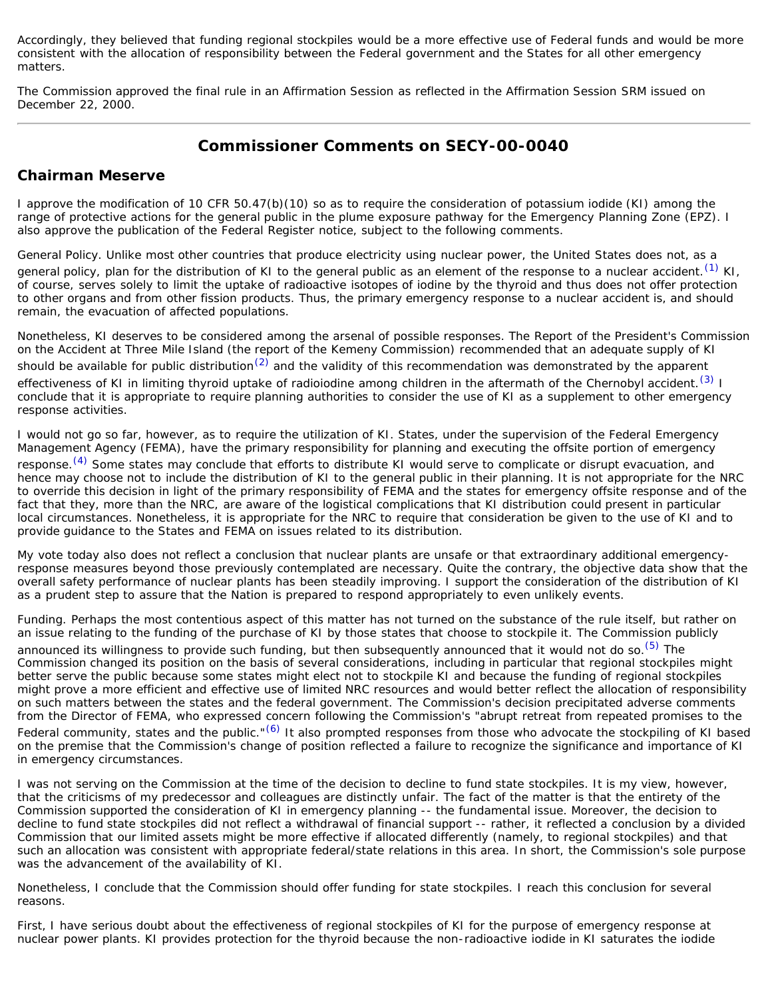Accordingly, they believed that funding regional stockpiles would be a more effective use of Federal funds and would be more consistent with the allocation of responsibility between the Federal government and the States for all other emergency matters.

The Commission approved the final rule in an Affirmation Session as reflected in the Affirmation Session SRM issued on December 22, 2000.

# **Commissioner Comments on SECY-00-0040**

## **Chairman Meserve**

I approve the modification of 10 CFR 50.47(b)(10) so as to require the consideration of potassium iodide (KI) among the range of protective actions for the general public in the plume exposure pathway for the Emergency Planning Zone (EPZ). I also approve the publication of the Federal Register notice, subject to the following comments.

General Policy. Unlike most other countries that produce electricity using nuclear power, the United States does not, as a general policy, plan for the distribution of KI to the general public as an element of the response to a nuclear accident.<sup>[\(1\)](#page-6-0)</sup> KI, of course, serves solely to limit the uptake of radioactive isotopes of iodine by the thyroid and thus does not offer protection to other organs and from other fission products. Thus, the primary emergency response to a nuclear accident is, and should remain, the evacuation of affected populations.

Nonetheless, KI deserves to be considered among the arsenal of possible responses. The Report of the President's Commission on the Accident at Three Mile Island (the report of the Kemeny Commission) recommended that an adequate supply of KI should be available for public distribution<sup>[\(2\)](#page-7-0)</sup> and the validity of this recommendation was demonstrated by the apparent

effectiveness of KI in limiting thyroid uptake of radioiodine among children in the aftermath of the Chernobyl accident.<sup>[\(3\)](#page-7-1)</sup> I conclude that it is appropriate to require planning authorities to consider the use of KI as a supplement to other emergency response activities.

I would not go so far, however, as to require the utilization of KI. States, under the supervision of the Federal Emergency Management Agency (FEMA), have the primary responsibility for planning and executing the offsite portion of emergency

response.<sup>[\(4\)](#page-7-2)</sup> Some states may conclude that efforts to distribute KI would serve to complicate or disrupt evacuation, and hence may choose not to include the distribution of KI to the general public in their planning. It is not appropriate for the NRC to override this decision in light of the primary responsibility of FEMA and the states for emergency offsite response and of the fact that they, more than the NRC, are aware of the logistical complications that KI distribution could present in particular local circumstances. Nonetheless, it is appropriate for the NRC to require that consideration be given to the use of KI and to provide guidance to the States and FEMA on issues related to its distribution.

My vote today also does not reflect a conclusion that nuclear plants are unsafe or that extraordinary additional emergencyresponse measures beyond those previously contemplated are necessary. Quite the contrary, the objective data show that the overall safety performance of nuclear plants has been steadily improving. I support the consideration of the distribution of KI as a prudent step to assure that the Nation is prepared to respond appropriately to even unlikely events.

Funding. Perhaps the most contentious aspect of this matter has not turned on the substance of the rule itself, but rather on an issue relating to the funding of the purchase of KI by those states that choose to stockpile it. The Commission publicly

announced its willingness to provide such funding, but then subsequently announced that it would not do so.<sup>(5)</sup> The Commission changed its position on the basis of several considerations, including in particular that regional stockpiles might better serve the public because some states might elect not to stockpile KI and because the funding of regional stockpiles might prove a more efficient and effective use of limited NRC resources and would better reflect the allocation of responsibility on such matters between the states and the federal government. The Commission's decision precipitated adverse comments from the Director of FEMA, who expressed concern following the Commission's "abrupt retreat from repeated promises to the Federal community, states and the public."<sup>[\(6\)](#page-7-4)</sup> It also prompted responses from those who advocate the stockpiling of KI based on the premise that the Commission's change of position reflected a failure to recognize the significance and importance of KI in emergency circumstances.

I was not serving on the Commission at the time of the decision to decline to fund state stockpiles. It is my view, however, that the criticisms of my predecessor and colleagues are distinctly unfair. The fact of the matter is that the entirety of the Commission supported the consideration of KI in emergency planning -- the fundamental issue. Moreover, the decision to decline to fund state stockpiles did not reflect a withdrawal of financial support -- rather, it reflected a conclusion by a divided Commission that our limited assets might be more effective if allocated differently (namely, to regional stockpiles) and that such an allocation was consistent with appropriate federal/state relations in this area. In short, the Commission's sole purpose was the advancement of the availability of KI.

Nonetheless, I conclude that the Commission should offer funding for state stockpiles. I reach this conclusion for several reasons.

First, I have serious doubt about the effectiveness of regional stockpiles of KI for the purpose of emergency response at nuclear power plants. KI provides protection for the thyroid because the non-radioactive iodide in KI saturates the iodide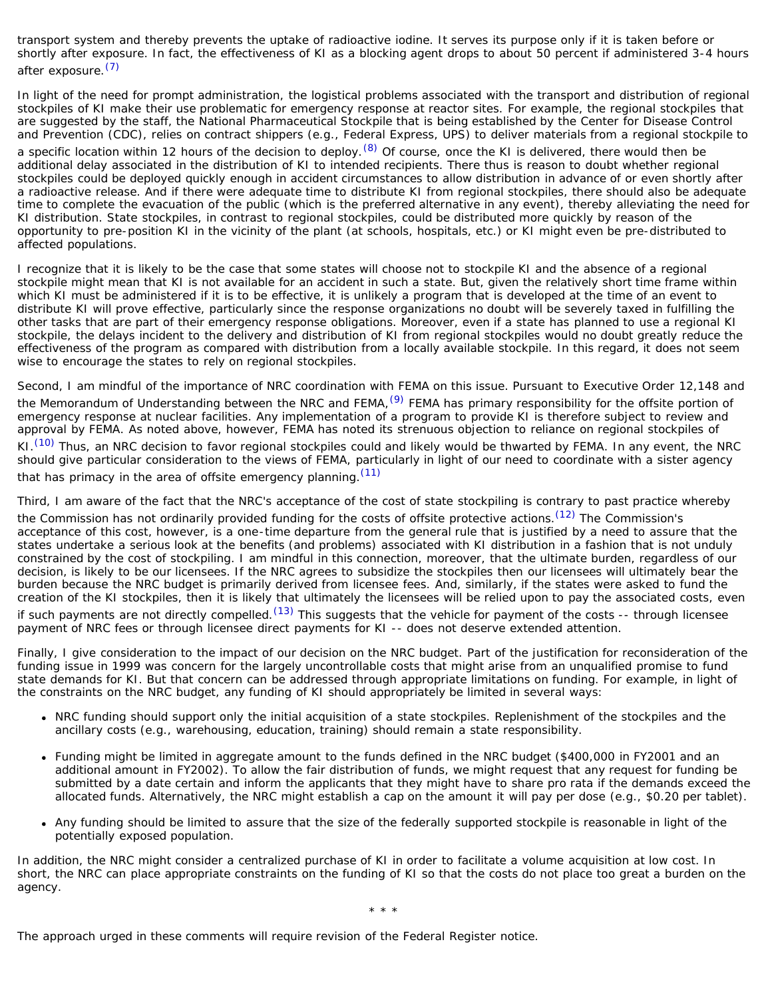transport system and thereby prevents the uptake of radioactive iodine. It serves its purpose only if it is taken before or shortly after exposure. In fact, the effectiveness of KI as a blocking agent drops to about 50 percent if administered 3-4 hours after exposure.<sup>[\(7\)](#page-7-5)</sup>

In light of the need for prompt administration, the logistical problems associated with the transport and distribution of regional stockpiles of KI make their use problematic for emergency response at reactor sites. For example, the regional stockpiles that are suggested by the staff, the National Pharmaceutical Stockpile that is being established by the Center for Disease Control and Prevention (CDC), relies on contract shippers (e.g., Federal Express, UPS) to deliver materials from a regional stockpile to

a specific location within 12 hours of the decision to deploy.  $(8)$  Of course, once the KI is delivered, there would then be additional delay associated in the distribution of KI to intended recipients. There thus is reason to doubt whether regional stockpiles could be deployed quickly enough in accident circumstances to allow distribution in advance of or even shortly after a radioactive release. And if there were adequate time to distribute KI from regional stockpiles, there should also be adequate time to complete the evacuation of the public (which is the preferred alternative in any event), thereby alleviating the need for KI distribution. State stockpiles, in contrast to regional stockpiles, could be distributed more quickly by reason of the opportunity to pre-position KI in the vicinity of the plant (at schools, hospitals, etc.) or KI might even be pre-distributed to affected populations.

I recognize that it is likely to be the case that some states will choose not to stockpile KI and the absence of a regional stockpile might mean that KI is not available for an accident in such a state. But, given the relatively short time frame within which KI must be administered if it is to be effective, it is unlikely a program that is developed at the time of an event to distribute KI will prove effective, particularly since the response organizations no doubt will be severely taxed in fulfilling the other tasks that are part of their emergency response obligations. Moreover, even if a state has planned to use a regional KI stockpile, the delays incident to the delivery and distribution of KI from regional stockpiles would no doubt greatly reduce the effectiveness of the program as compared with distribution from a locally available stockpile. In this regard, it does not seem wise to encourage the states to rely on regional stockpiles.

Second, I am mindful of the importance of NRC coordination with FEMA on this issue. Pursuant to Executive Order 12,148 and the Memorandum of Understanding between the NRC and FEMA, <sup>[\(9\)](#page-7-7)</sup> FEMA has primary responsibility for the offsite portion of emergency response at nuclear facilities. Any implementation of a program to provide KI is therefore subject to review and approval by FEMA. As noted above, however, FEMA has noted its strenuous objection to reliance on regional stockpiles of

KI.<sup>(10)</sup> Thus, an NRC decision to favor regional stockpiles could and likely would be thwarted by FEMA. In any event, the NRC should give particular consideration to the views of FEMA, particularly in light of our need to coordinate with a sister agency that has primacy in the area of offsite emergency planning.<sup>[\(11\)](#page-7-9)</sup>

Third, I am aware of the fact that the NRC's acceptance of the cost of state stockpiling is contrary to past practice whereby the Commission has not ordinarily provided funding for the costs of offsite protective actions.<sup>(12)</sup> The Commission's acceptance of this cost, however, is a one-time departure from the general rule that is justified by a need to assure that the states undertake a serious look at the benefits (and problems) associated with KI distribution in a fashion that is not unduly constrained by the cost of stockpiling. I am mindful in this connection, moreover, that the ultimate burden, regardless of our decision, is likely to be our licensees. If the NRC agrees to subsidize the stockpiles then our licensees will ultimately bear the burden because the NRC budget is primarily derived from licensee fees. And, similarly, if the states were asked to fund the creation of the KI stockpiles, then it is likely that ultimately the licensees will be relied upon to pay the associated costs, even

if such payments are not directly compelled.<sup>(13)</sup> This suggests that the vehicle for payment of the costs -- through licensee payment of NRC fees or through licensee direct payments for KI -- does not deserve extended attention.

Finally, I give consideration to the impact of our decision on the NRC budget. Part of the justification for reconsideration of the funding issue in 1999 was concern for the largely uncontrollable costs that might arise from an unqualified promise to fund state demands for KI. But that concern can be addressed through appropriate limitations on funding. For example, in light of the constraints on the NRC budget, any funding of KI should appropriately be limited in several ways:

- NRC funding should support only the initial acquisition of a state stockpiles. Replenishment of the stockpiles and the ancillary costs (e.g., warehousing, education, training) should remain a state responsibility.
- Funding might be limited in aggregate amount to the funds defined in the NRC budget (\$400,000 in FY2001 and an additional amount in FY2002). To allow the fair distribution of funds, we might request that any request for funding be submitted by a date certain and inform the applicants that they might have to share pro rata if the demands exceed the allocated funds. Alternatively, the NRC might establish a cap on the amount it will pay per dose (e.g., \$0.20 per tablet).
- Any funding should be limited to assure that the size of the federally supported stockpile is reasonable in light of the potentially exposed population.

In addition, the NRC might consider a centralized purchase of KI in order to facilitate a volume acquisition at low cost. In short, the NRC can place appropriate constraints on the funding of KI so that the costs do not place too great a burden on the agency.

\* \* \*

The approach urged in these comments will require revision of the Federal Register notice.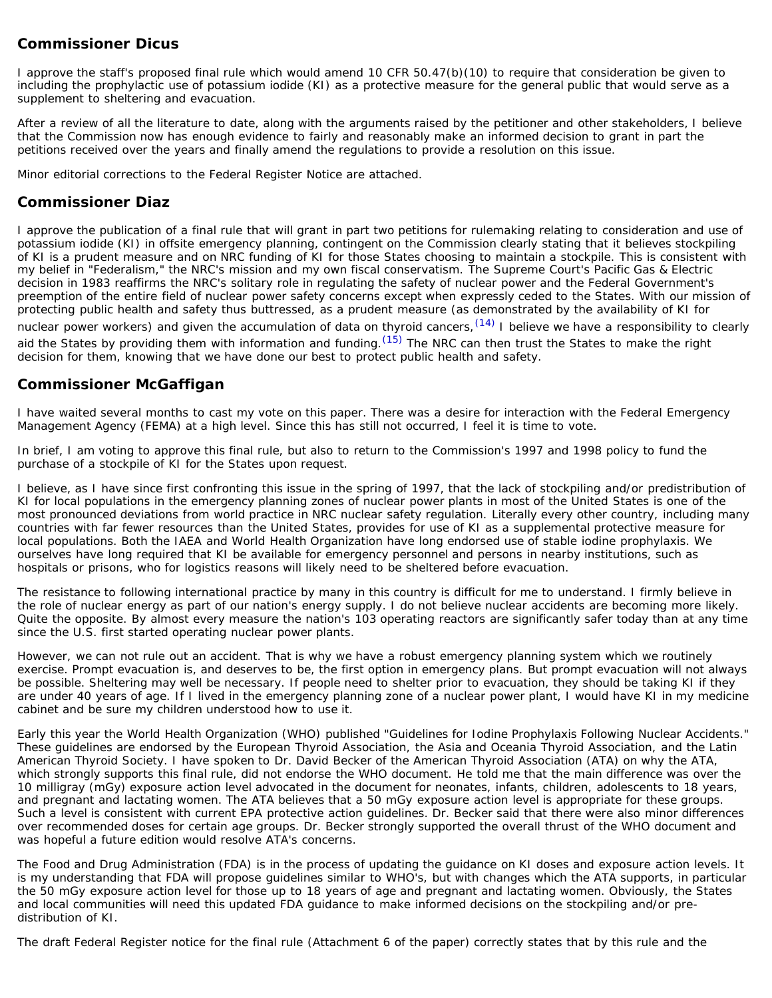## **Commissioner Dicus**

I approve the staff's proposed final rule which would amend 10 CFR 50.47(b)(10) to require that consideration be given to including the prophylactic use of potassium iodide (KI) as a protective measure for the general public that would serve as a supplement to sheltering and evacuation.

After a review of all the literature to date, along with the arguments raised by the petitioner and other stakeholders, I believe that the Commission now has enough evidence to fairly and reasonably make an informed decision to grant in part the petitions received over the years and finally amend the regulations to provide a resolution on this issue.

Minor editorial corrections to the Federal Register Notice are attached.

### **Commissioner Diaz**

I approve the publication of a final rule that will grant in part two petitions for rulemaking relating to consideration and use of potassium iodide (KI) in offsite emergency planning, contingent on the Commission clearly stating that it believes stockpiling of KI is a prudent measure and on NRC funding of KI for those States choosing to maintain a stockpile. This is consistent with my belief in "Federalism," the NRC's mission and my own fiscal conservatism. The Supreme Court's *Pacific Gas & Electric* decision in 1983 reaffirms the NRC's solitary role in regulating the safety of nuclear power and the Federal Government's preemption of the entire field of nuclear power safety concerns except when expressly ceded to the States. With our mission of protecting public health and safety thus buttressed, as a prudent measure (as demonstrated by the availability of KI for nuclear power workers) and given the accumulation of data on thyroid cancers, <sup>(14)</sup> I believe we have a responsibility to clearly aid the States by providing them with information and funding.  $(15)$  The NRC can then trust the States to make the right decision for them, knowing that we have done our best to protect public health and safety.

## **Commissioner McGaffigan**

I have waited several months to cast my vote on this paper. There was a desire for interaction with the Federal Emergency Management Agency (FEMA) at a high level. Since this has still not occurred, I feel it is time to vote.

In brief, I am voting to approve this final rule, but also to return to the Commission's 1997 and 1998 policy to fund the purchase of a stockpile of KI for the States upon request.

I believe, as I have since first confronting this issue in the spring of 1997, that the lack of stockpiling and/or predistribution of KI for local populations in the emergency planning zones of nuclear power plants in most of the United States is one of the most pronounced deviations from world practice in NRC nuclear safety regulation. Literally every other country, including many countries with far fewer resources than the United States, provides for use of KI as a supplemental protective measure for local populations. Both the IAEA and World Health Organization have long endorsed use of stable iodine prophylaxis. We ourselves have long required that KI be available for emergency personnel and persons in nearby institutions, such as hospitals or prisons, who for logistics reasons will likely need to be sheltered before evacuation.

The resistance to following international practice by many in this country is difficult for me to understand. I firmly believe in the role of nuclear energy as part of our nation's energy supply. I do not believe nuclear accidents are becoming more likely. Quite the opposite. By almost every measure the nation's 103 operating reactors are significantly safer today than at any time since the U.S. first started operating nuclear power plants.

However, we can not rule out an accident. That is why we have a robust emergency planning system which we routinely exercise. Prompt evacuation is, and deserves to be, the first option in emergency plans. But prompt evacuation will not always be possible. Sheltering may well be necessary. If people need to shelter prior to evacuation, they should be taking KI if they are under 40 years of age. If I lived in the emergency planning zone of a nuclear power plant, I would have KI in my medicine cabinet and be sure my children understood how to use it.

Early this year the World Health Organization (WHO) published "Guidelines for Iodine Prophylaxis Following Nuclear Accidents." These guidelines are endorsed by the European Thyroid Association, the Asia and Oceania Thyroid Association, and the Latin American Thyroid Society. I have spoken to Dr. David Becker of the American Thyroid Association (ATA) on why the ATA, which strongly supports this final rule, did not endorse the WHO document. He told me that the main difference was over the 10 milligray (mGy) exposure action level advocated in the document for neonates, infants, children, adolescents to 18 years, and pregnant and lactating women. The ATA believes that a 50 mGy exposure action level is appropriate for these groups. Such a level is consistent with current EPA protective action guidelines. Dr. Becker said that there were also minor differences over recommended doses for certain age groups. Dr. Becker strongly supported the overall thrust of the WHO document and was hopeful a future edition would resolve ATA's concerns.

The Food and Drug Administration (FDA) is in the process of updating the guidance on KI doses and exposure action levels. It is my understanding that FDA will propose guidelines similar to WHO's, but with changes which the ATA supports, in particular the 50 mGy exposure action level for those up to 18 years of age and pregnant and lactating women. Obviously, the States and local communities will need this updated FDA guidance to make informed decisions on the stockpiling and/or predistribution of KI.

The draft Federal Register notice for the final rule (Attachment 6 of the paper) correctly states that by this rule and the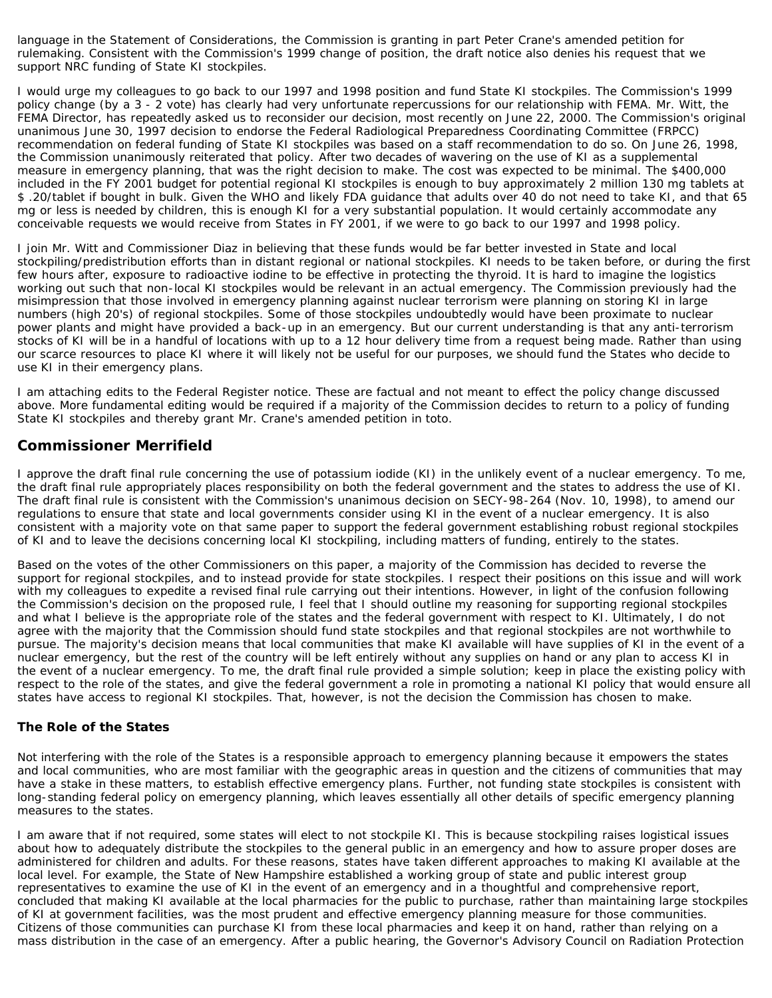language in the Statement of Considerations, the Commission is granting in part Peter Crane's amended petition for rulemaking. Consistent with the Commission's 1999 change of position, the draft notice also denies his request that we support NRC funding of State KI stockpiles.

I would urge my colleagues to go back to our 1997 and 1998 position and fund State KI stockpiles. The Commission's 1999 policy change (by a 3 - 2 vote) has clearly had very unfortunate repercussions for our relationship with FEMA. Mr. Witt, the FEMA Director, has repeatedly asked us to reconsider our decision, most recently on June 22, 2000. The Commission's original unanimous June 30, 1997 decision to endorse the Federal Radiological Preparedness Coordinating Committee (FRPCC) recommendation on federal funding of State KI stockpiles was based on a staff recommendation to do so. On June 26, 1998, the Commission unanimously reiterated that policy. After two decades of wavering on the use of KI as a supplemental measure in emergency planning, that was the right decision to make. The cost was expected to be minimal. The \$400,000 included in the FY 2001 budget for potential regional KI stockpiles is enough to buy approximately 2 million 130 mg tablets at \$ .20/tablet if bought in bulk. Given the WHO and likely FDA guidance that adults over 40 do not need to take KI, and that 65 mg or less is needed by children, this is enough KI for a very substantial population. It would certainly accommodate any conceivable requests we would receive from States in FY 2001, if we were to go back to our 1997 and 1998 policy.

I join Mr. Witt and Commissioner Diaz in believing that these funds would be far better invested in State and local stockpiling/predistribution efforts than in distant regional or national stockpiles. KI needs to be taken before, or during the first few hours after, exposure to radioactive iodine to be effective in protecting the thyroid. It is hard to imagine the logistics working out such that non-local KI stockpiles would be relevant in an actual emergency. The Commission previously had the misimpression that those involved in emergency planning against nuclear terrorism were planning on storing KI in large numbers (high 20's) of regional stockpiles. Some of those stockpiles undoubtedly would have been proximate to nuclear power plants and might have provided a back-up in an emergency. But our current understanding is that any anti-terrorism stocks of KI will be in a handful of locations with up to a 12 hour delivery time from a request being made. Rather than using our scarce resources to place KI where it will likely not be useful for our purposes, we should fund the States who decide to use KI in their emergency plans.

I am attaching edits to the Federal Register notice. These are factual and not meant to effect the policy change discussed above. More fundamental editing would be required if a majority of the Commission decides to return to a policy of funding State KI stockpiles and thereby grant Mr. Crane's amended petition in toto.

## **Commissioner Merrifield**

I approve the draft final rule concerning the use of potassium iodide (KI) in the unlikely event of a nuclear emergency. To me, the draft final rule appropriately places responsibility on both the federal government and the states to address the use of KI. The draft final rule is consistent with the Commission's unanimous decision on SECY-98-264 (Nov. 10, 1998), to amend our regulations to ensure that state and local governments consider using KI in the event of a nuclear emergency. It is also consistent with a majority vote on that same paper to support the federal government establishing robust regional stockpiles of KI and to leave the decisions concerning local KI stockpiling, including matters of funding, entirely to the states.

Based on the votes of the other Commissioners on this paper, a majority of the Commission has decided to reverse the support for regional stockpiles, and to instead provide for state stockpiles. I respect their positions on this issue and will work with my colleagues to expedite a revised final rule carrying out their intentions. However, in light of the confusion following the Commission's decision on the proposed rule, I feel that I should outline my reasoning for supporting regional stockpiles and what I believe is the appropriate role of the states and the federal government with respect to KI. Ultimately, I do not agree with the majority that the Commission should fund state stockpiles and that regional stockpiles are not worthwhile to pursue. The majority's decision means that local communities that make KI available will have supplies of KI in the event of a nuclear emergency, but the rest of the country will be left entirely without any supplies on hand or any plan to access KI in the event of a nuclear emergency. To me, the draft final rule provided a simple solution; keep in place the existing policy with respect to the role of the states, and give the federal government a role in promoting a national KI policy that would ensure all states have access to regional KI stockpiles. That, however, is not the decision the Commission has chosen to make.

### **The Role of the States**

Not interfering with the role of the States is a responsible approach to emergency planning because it empowers the states and local communities, who are most familiar with the geographic areas in question and the citizens of communities that may have a stake in these matters, to establish effective emergency plans. Further, not funding state stockpiles is consistent with long-standing federal policy on emergency planning, which leaves essentially all other details of specific emergency planning measures to the states.

I am aware that if not required, some states will elect to not stockpile KI. This is because stockpiling raises logistical issues about how to adequately distribute the stockpiles to the general public in an emergency and how to assure proper doses are administered for children and adults. For these reasons, states have taken different approaches to making KI available at the local level. For example, the State of New Hampshire established a working group of state and public interest group representatives to examine the use of KI in the event of an emergency and in a thoughtful and comprehensive report, concluded that making KI available at the local pharmacies for the public to purchase, rather than maintaining large stockpiles of KI at government facilities, was the most prudent and effective emergency planning measure for those communities. Citizens of those communities can purchase KI from these local pharmacies and keep it on hand, rather than relying on a mass distribution in the case of an emergency. After a public hearing, the Governor's Advisory Council on Radiation Protection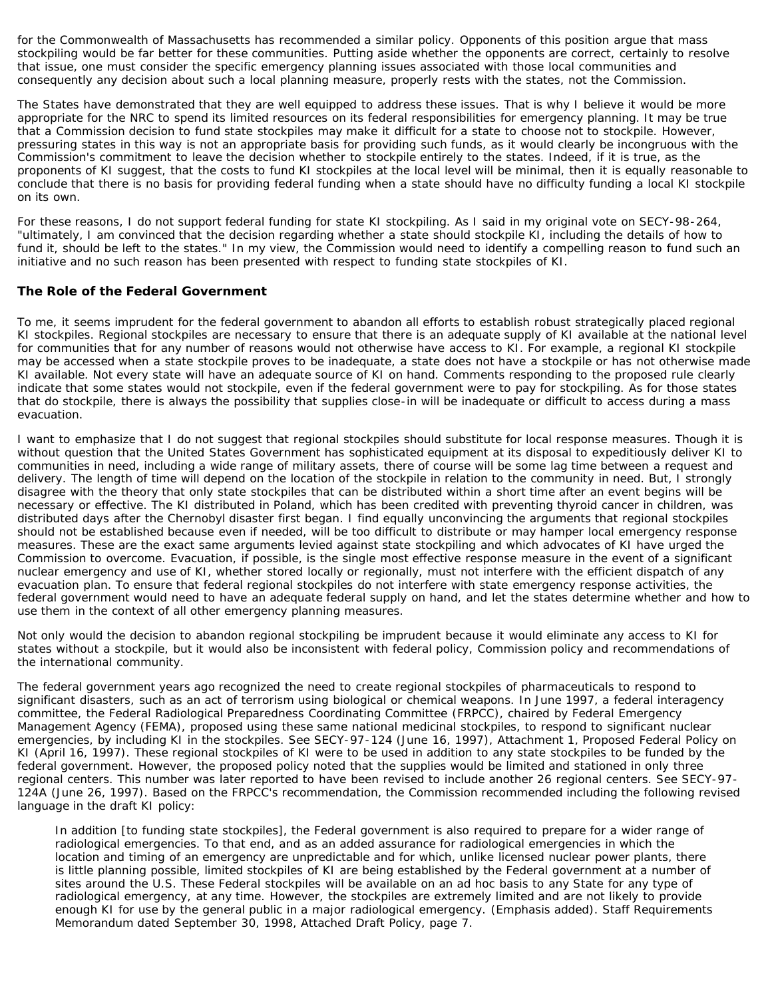for the Commonwealth of Massachusetts has recommended a similar policy. Opponents of this position argue that mass stockpiling would be far better for these communities. Putting aside whether the opponents are correct, certainly to resolve that issue, one must consider the specific emergency planning issues associated with those local communities and consequently any decision about such a local planning measure, properly rests with the states, not the Commission.

The States have demonstrated that they are well equipped to address these issues. That is why I believe it would be more appropriate for the NRC to spend its limited resources on its federal responsibilities for emergency planning. It may be true that a Commission decision to fund state stockpiles may make it difficult for a state to choose not to stockpile. However, pressuring states in this way is not an appropriate basis for providing such funds, as it would clearly be incongruous with the Commission's commitment to leave the decision whether to stockpile entirely to the states. Indeed, if it is true, as the proponents of KI suggest, that the costs to fund KI stockpiles at the local level will be minimal, then it is equally reasonable to conclude that there is no basis for providing federal funding when a state should have no difficulty funding a local KI stockpile on its own.

For these reasons, I do not support federal funding for state KI stockpiling. As I said in my original vote on SECY-98-264, "ultimately, I am convinced that the decision regarding whether a state should stockpile KI, including the details of how to fund it, should be left to the states." In my view, the Commission would need to identify a compelling reason to fund such an initiative and no such reason has been presented with respect to funding state stockpiles of KI.

### **The Role of the Federal Government**

To me, it seems imprudent for the federal government to abandon all efforts to establish robust strategically placed regional KI stockpiles. Regional stockpiles are necessary to ensure that there is an adequate supply of KI available at the national level for communities that for any number of reasons would not otherwise have access to KI. For example, a regional KI stockpile may be accessed when a state stockpile proves to be inadequate, a state does not have a stockpile or has not otherwise made KI available. Not every state will have an adequate source of KI on hand. Comments responding to the proposed rule clearly indicate that some states would not stockpile, even if the federal government were to pay for stockpiling. As for those states that do stockpile, there is always the possibility that supplies close-in will be inadequate or difficult to access during a mass evacuation.

I want to emphasize that I do not suggest that regional stockpiles should substitute for local response measures. Though it is without question that the United States Government has sophisticated equipment at its disposal to expeditiously deliver KI to communities in need, including a wide range of military assets, there of course will be some lag time between a request and delivery. The length of time will depend on the location of the stockpile in relation to the community in need. But, I strongly disagree with the theory that only state stockpiles that can be distributed within a short time after an event begins will be necessary or effective. The KI distributed in Poland, which has been credited with preventing thyroid cancer in children, was distributed days after the Chernobyl disaster first began. I find equally unconvincing the arguments that regional stockpiles should not be established because even if needed, will be too difficult to distribute or may hamper local emergency response measures. These are the exact same arguments levied against state stockpiling and which advocates of KI have urged the Commission to overcome. Evacuation, if possible, is the single most effective response measure in the event of a significant nuclear emergency and use of KI, whether stored locally or regionally, must not interfere with the efficient dispatch of any evacuation plan. To ensure that federal regional stockpiles do not interfere with state emergency response activities, the federal government would need to have an adequate federal supply on hand, and let the states determine whether and how to use them in the context of all other emergency planning measures.

Not only would the decision to abandon regional stockpiling be imprudent because it would eliminate any access to KI for states without a stockpile, but it would also be inconsistent with federal policy, Commission policy and recommendations of the international community.

The federal government years ago recognized the need to create regional stockpiles of pharmaceuticals to respond to significant disasters, such as an act of terrorism using biological or chemical weapons. In June 1997, a federal interagency committee, the Federal Radiological Preparedness Coordinating Committee (FRPCC), chaired by Federal Emergency Management Agency (FEMA), proposed using these same national medicinal stockpiles, to respond to significant nuclear emergencies, by including KI in the stockpiles. See SECY-97-124 (June 16, 1997), Attachment 1, Proposed Federal Policy on KI (April 16, 1997). These regional stockpiles of KI were to be used in addition to any state stockpiles to be funded by the federal government. However, the proposed policy noted that the supplies would be limited and stationed in only three regional centers. This number was later reported to have been revised to include another 26 regional centers. See SECY-97- 124A (June 26, 1997). Based on the FRPCC's recommendation, the Commission recommended including the following revised language in the draft KI policy:

In addition [to funding state stockpiles], the Federal government is also required to prepare for a wider range of radiological emergencies. To that end, and as an added assurance for radiological emergencies in which the location and timing of an emergency are unpredictable and for which, unlike licensed nuclear power plants, there is little planning possible, limited stockpiles of KI are being established by the Federal government at a number of sites around the U.S. These Federal stockpiles will be available on an *ad hoc* basis to any State for any type of radiological emergency, at any time. However, the stockpiles are extremely limited and are not likely to provide enough KI for use by the general public in a major radiological emergency. (Emphasis added). *Staff Requirements Memorandum dated September 30, 1998, Attached Draft Policy, page* 7.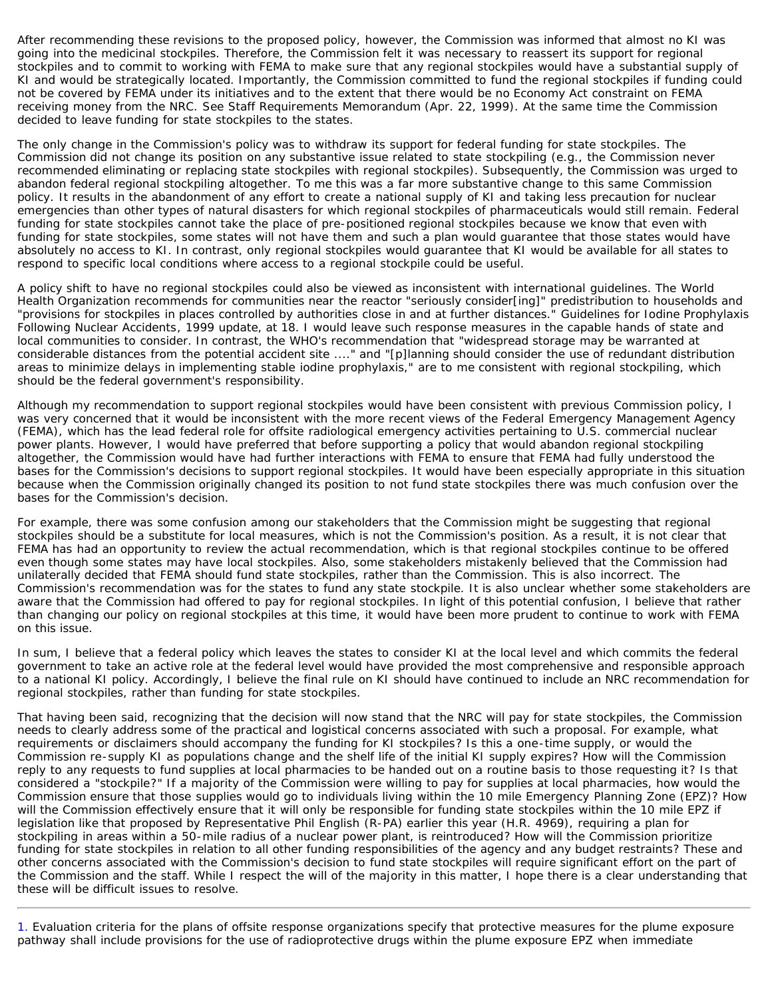After recommending these revisions to the proposed policy, however, the Commission was informed that almost no KI was going into the medicinal stockpiles. Therefore, the Commission felt it was necessary to reassert its support for regional stockpiles and to commit to working with FEMA to make sure that any regional stockpiles would have a substantial supply of KI and would be strategically located. Importantly, the Commission committed to fund the regional stockpiles if funding could not be covered by FEMA under its initiatives and to the extent that there would be no Economy Act constraint on FEMA receiving money from the NRC. See Staff Requirements Memorandum (Apr. 22, 1999). At the same time the Commission decided to leave funding for state stockpiles to the states.

The only change in the Commission's policy was to withdraw its support for federal funding for state stockpiles. The Commission did not change its position on any substantive issue related to state stockpiling (e.g., the Commission never recommended eliminating or replacing state stockpiles with regional stockpiles). Subsequently, the Commission was urged to abandon federal regional stockpiling altogether. To me this was a far more substantive change to this same Commission policy. It results in the abandonment of any effort to create a national supply of KI and taking less precaution for nuclear emergencies than other types of natural disasters for which regional stockpiles of pharmaceuticals would still remain. Federal funding for state stockpiles cannot take the place of pre-positioned regional stockpiles because we know that even with funding for state stockpiles, some states will not have them and such a plan would guarantee that those states would have absolutely no access to KI. In contrast, only regional stockpiles would guarantee that KI would be available for all states to respond to specific local conditions where access to a regional stockpile could be useful.

A policy shift to have no regional stockpiles could also be viewed as inconsistent with international guidelines. The World Health Organization recommends for communities near the reactor "seriously consider[ing]" predistribution to households and "provisions for stockpiles in places controlled by authorities close in and at further distances." *Guidelines for Iodine Prophylaxis Following Nuclear Accidents*, 1999 update, at 18. I would leave such response measures in the capable hands of state and local communities to consider. In contrast, the WHO's recommendation that "widespread storage may be warranted at considerable distances from the potential accident site ...." and "[p]lanning should consider the use of redundant distribution areas to minimize delays in implementing stable iodine prophylaxis," are to me consistent with regional stockpiling, which should be the federal government's responsibility.

Although my recommendation to support regional stockpiles would have been consistent with previous Commission policy, I was very concerned that it would be inconsistent with the more recent views of the Federal Emergency Management Agency (FEMA), which has the lead federal role for offsite radiological emergency activities pertaining to U.S. commercial nuclear power plants. However, I would have preferred that before supporting a policy that would abandon regional stockpiling altogether, the Commission would have had further interactions with FEMA to ensure that FEMA had fully understood the bases for the Commission's decisions to support regional stockpiles. It would have been especially appropriate in this situation because when the Commission originally changed its position to not fund state stockpiles there was much confusion over the bases for the Commission's decision.

For example, there was some confusion among our stakeholders that the Commission might be suggesting that regional stockpiles should be a substitute for local measures, which is not the Commission's position. As a result, it is not clear that FEMA has had an opportunity to review the actual recommendation, which is that regional stockpiles continue to be offered even though some states may have local stockpiles. Also, some stakeholders mistakenly believed that the Commission had unilaterally decided that FEMA should fund state stockpiles, rather than the Commission. This is also incorrect. The Commission's recommendation was for the states to fund any state stockpile. It is also unclear whether some stakeholders are aware that the Commission had offered to pay for regional stockpiles. In light of this potential confusion, I believe that rather than changing our policy on regional stockpiles at this time, it would have been more prudent to continue to work with FEMA on this issue.

In sum, I believe that a federal policy which leaves the states to consider KI at the local level and which commits the federal government to take an active role at the federal level would have provided the most comprehensive and responsible approach to a national KI policy. Accordingly, I believe the final rule on KI should have continued to include an NRC recommendation for regional stockpiles, rather than funding for state stockpiles.

That having been said, recognizing that the decision will now stand that the NRC will pay for state stockpiles, the Commission needs to clearly address some of the practical and logistical concerns associated with such a proposal. For example, what requirements or disclaimers should accompany the funding for KI stockpiles? Is this a one-time supply, or would the Commission re-supply KI as populations change and the shelf life of the initial KI supply expires? How will the Commission reply to any requests to fund supplies at local pharmacies to be handed out on a routine basis to those requesting it? Is that considered a "stockpile?" If a majority of the Commission were willing to pay for supplies at local pharmacies, how would the Commission ensure that those supplies would go to individuals living within the 10 mile Emergency Planning Zone (EPZ)? How will the Commission effectively ensure that it will only be responsible for funding state stockpiles within the 10 mile EPZ if legislation like that proposed by Representative Phil English (R-PA) earlier this year (H.R. 4969), requiring a plan for stockpiling in areas within a 50-mile radius of a nuclear power plant, is reintroduced? How will the Commission prioritize funding for state stockpiles in relation to all other funding responsibilities of the agency and any budget restraints? These and other concerns associated with the Commission's decision to fund state stockpiles will require significant effort on the part of the Commission and the staff. While I respect the will of the majority in this matter, I hope there is a clear understanding that these will be difficult issues to resolve.

<span id="page-6-0"></span>1. Evaluation criteria for the plans of offsite response organizations specify that protective measures for the plume exposure pathway shall include provisions for the use of radioprotective drugs within the plume exposure EPZ when immediate